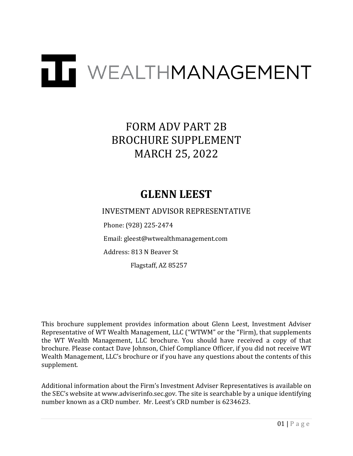# TT WEALTHMANAGEMENT

# FORM ADV PART 2B BROCHURE SUPPLEMENT MARCH 25, 2022

## **GLENN LEEST**

INVESTMENT ADVISOR REPRESENTATIVE

Phone: (928) 225-2474

Email: gleest@wtwealthmanagement.com

Address: 813 N Beaver St

Flagstaff, AZ 85257

This brochure supplement provides information about Glenn Leest, Investment Adviser Representative of WT Wealth Management, LLC ("WTWM" or the "Firm), that supplements the WT Wealth Management, LLC brochure. You should have received a copy of that brochure. Please contact Dave Johnson, Chief Compliance Officer, if you did not receive WT Wealth Management, LLC's brochure or if you have any questions about the contents of this supplement.

Additional information about the Firm's Investment Adviser Representatives is available on the SEC's website at www.adviserinfo.sec.gov. The site is searchable by a unique identifying number known as a CRD number. Mr. Leest's CRD number is 6234623.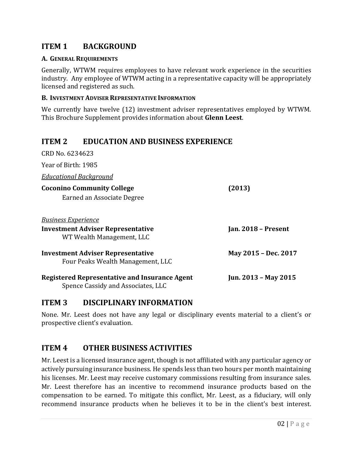#### **ITEM 1 BACKGROUND**

#### **A. GENERAL REQUIREMENTS**

Generally, WTWM requires employees to have relevant work experience in the securities industry. Any employee of WTWM acting in a representative capacity will be appropriately licensed and registered as such.

#### **B. INVESTMENT ADVISER REPRESENTATIVE INFORMATION**

We currently have twelve (12) investment adviser representatives employed by WTWM. This Brochure Supplement provides information about **Glenn Leest**.

#### **ITEM 2 EDUCATION AND BUSINESS EXPERIENCE**

| CRD No. 6234623                                                                            |                      |
|--------------------------------------------------------------------------------------------|----------------------|
| Year of Birth: 1985                                                                        |                      |
| <b>Educational Background</b>                                                              |                      |
| <b>Coconino Community College</b><br>Earned an Associate Degree                            | (2013)               |
| <b>Business Experience</b>                                                                 |                      |
| <b>Investment Adviser Representative</b><br>WT Wealth Management, LLC                      | Jan. 2018 - Present  |
| <b>Investment Adviser Representative</b><br>Four Peaks Wealth Management, LLC              | May 2015 - Dec. 2017 |
| <b>Registered Representative and Insurance Agent</b><br>Spence Cassidy and Associates, LLC | Jun. 2013 - May 2015 |

#### **ITEM 3 DISCIPLINARY INFORMATION**

None. Mr. Leest does not have any legal or disciplinary events material to a client's or prospective client's evaluation.

#### **ITEM 4 OTHER BUSINESS ACTIVITIES**

Mr. Leest is a licensed insurance agent, though is not affiliated with any particular agency or actively pursuing insurance business. He spends less than two hours per month maintaining his licenses. Mr. Leest may receive customary commissions resulting from insurance sales. Mr. Leest therefore has an incentive to recommend insurance products based on the compensation to be earned. To mitigate this conflict, Mr. Leest, as a fiduciary, will only recommend insurance products when he believes it to be in the client's best interest.